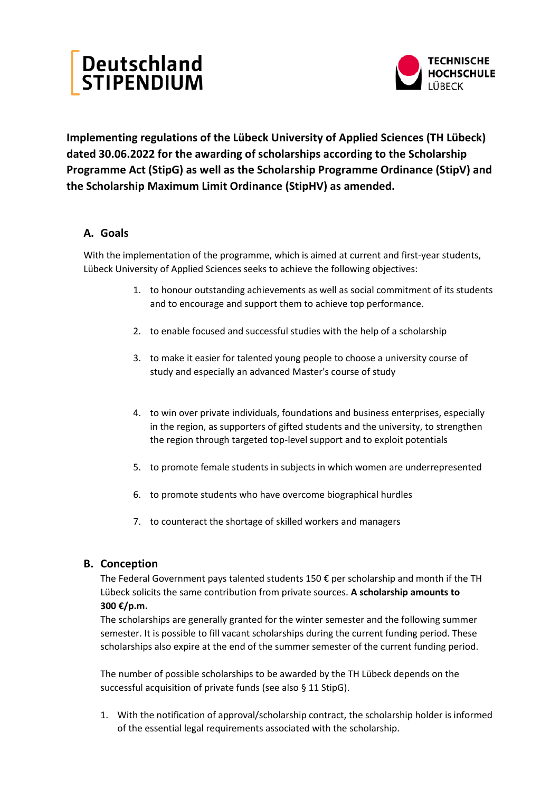# Deutschland<br>STIPENDIUM



**Implementing regulations of the Lübeck University of Applied Sciences (TH Lübeck) dated 30.06.2022 for the awarding of scholarships according to the Scholarship Programme Act (StipG) as well as the Scholarship Programme Ordinance (StipV) and the Scholarship Maximum Limit Ordinance (StipHV) as amended.**

# **A. Goals**

With the implementation of the programme, which is aimed at current and first-year students, Lübeck University of Applied Sciences seeks to achieve the following objectives:

- 1. to honour outstanding achievements as well as social commitment of its students and to encourage and support them to achieve top performance.
- 2. to enable focused and successful studies with the help of a scholarship
- 3. to make it easier for talented young people to choose a university course of study and especially an advanced Master's course of study
- 4. to win over private individuals, foundations and business enterprises, especially in the region, as supporters of gifted students and the university, to strengthen the region through targeted top-level support and to exploit potentials
- 5. to promote female students in subjects in which women are underrepresented
- 6. to promote students who have overcome biographical hurdles
- 7. to counteract the shortage of skilled workers and managers

# **B. Conception**

The Federal Government pays talented students 150  $\epsilon$  per scholarship and month if the TH Lübeck solicits the same contribution from private sources. **A scholarship amounts to 300 €/p.m.** 

The scholarships are generally granted for the winter semester and the following summer semester. It is possible to fill vacant scholarships during the current funding period. These scholarships also expire at the end of the summer semester of the current funding period.

The number of possible scholarships to be awarded by the TH Lübeck depends on the successful acquisition of private funds (see also § 11 StipG).

1. With the notification of approval/scholarship contract, the scholarship holder is informed of the essential legal requirements associated with the scholarship.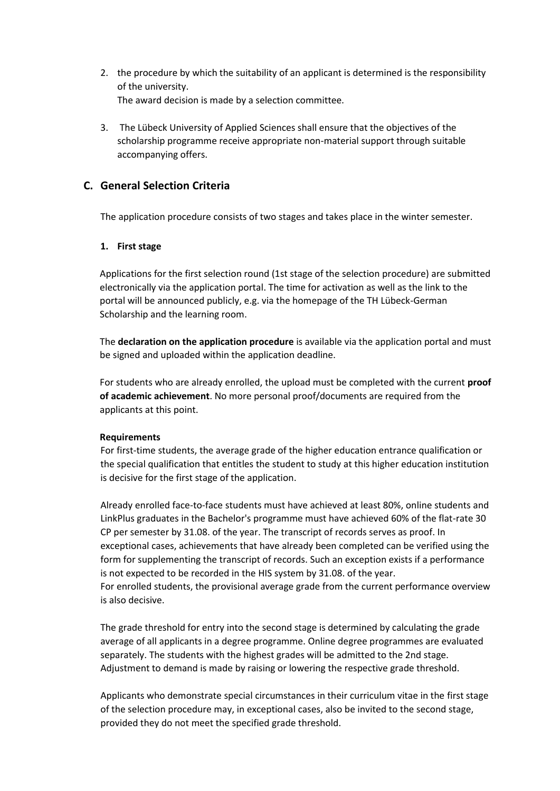- 2. the procedure by which the suitability of an applicant is determined is the responsibility of the university. The award decision is made by a selection committee.
- 3. The Lübeck University of Applied Sciences shall ensure that the objectives of the scholarship programme receive appropriate non-material support through suitable accompanying offers.

# **C. General Selection Criteria**

The application procedure consists of two stages and takes place in the winter semester.

## **1. First stage**

Applications for the first selection round (1st stage of the selection procedure) are submitted electronically via the application portal. The time for activation as well as the link to the portal will be announced publicly, e.g. via the homepage of the TH Lübeck-German Scholarship and the learning room.

The **declaration on the application procedure** is available via the application portal and must be signed and uploaded within the application deadline.

For students who are already enrolled, the upload must be completed with the current **proof of academic achievement**. No more personal proof/documents are required from the applicants at this point.

### **Requirements**

For first-time students, the average grade of the higher education entrance qualification or the special qualification that entitles the student to study at this higher education institution is decisive for the first stage of the application.

Already enrolled face-to-face students must have achieved at least 80%, online students and LinkPlus graduates in the Bachelor's programme must have achieved 60% of the flat-rate 30 CP per semester by 31.08. of the year. The transcript of records serves as proof. In exceptional cases, achievements that have already been completed can be verified using the form for supplementing the transcript of records. Such an exception exists if a performance is not expected to be recorded in the HIS system by 31.08. of the year. For enrolled students, the provisional average grade from the current performance overview is also decisive.

The grade threshold for entry into the second stage is determined by calculating the grade average of all applicants in a degree programme. Online degree programmes are evaluated separately. The students with the highest grades will be admitted to the 2nd stage. Adjustment to demand is made by raising or lowering the respective grade threshold.

Applicants who demonstrate special circumstances in their curriculum vitae in the first stage of the selection procedure may, in exceptional cases, also be invited to the second stage, provided they do not meet the specified grade threshold.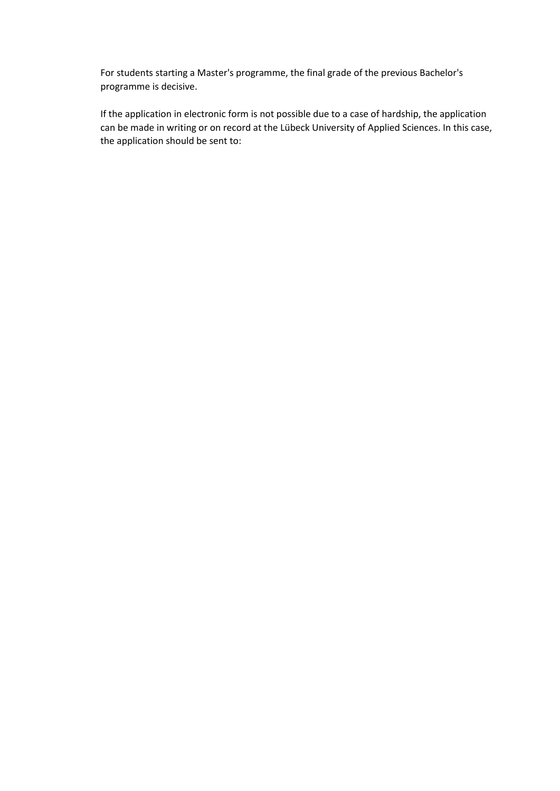For students starting a Master's programme, the final grade of the previous Bachelor's programme is decisive.

If the application in electronic form is not possible due to a case of hardship, the application can be made in writing or on record at the Lübeck University of Applied Sciences. In this case, the application should be sent to: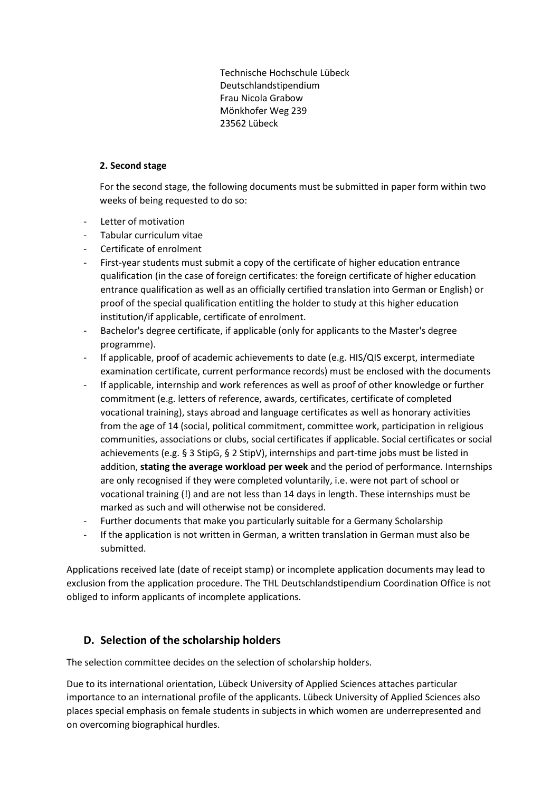Technische Hochschule Lübeck Deutschlandstipendium Frau Nicola Grabow Mönkhofer Weg 239 23562 Lübeck

## **2. Second stage**

For the second stage, the following documents must be submitted in paper form within two weeks of being requested to do so:

- Letter of motivation
- Tabular curriculum vitae
- Certificate of enrolment
- First-year students must submit a copy of the certificate of higher education entrance qualification (in the case of foreign certificates: the foreign certificate of higher education entrance qualification as well as an officially certified translation into German or English) or proof of the special qualification entitling the holder to study at this higher education institution/if applicable, certificate of enrolment.
- Bachelor's degree certificate, if applicable (only for applicants to the Master's degree programme).
- If applicable, proof of academic achievements to date (e.g. HIS/QIS excerpt, intermediate examination certificate, current performance records) must be enclosed with the documents
- If applicable, internship and work references as well as proof of other knowledge or further commitment (e.g. letters of reference, awards, certificates, certificate of completed vocational training), stays abroad and language certificates as well as honorary activities from the age of 14 (social, political commitment, committee work, participation in religious communities, associations or clubs, social certificates if applicable. Social certificates or social achievements (e.g. § 3 StipG, § 2 StipV), internships and part-time jobs must be listed in addition, **stating the average workload per week** and the period of performance. Internships are only recognised if they were completed voluntarily, i.e. were not part of school or vocational training (!) and are not less than 14 days in length. These internships must be marked as such and will otherwise not be considered.
- Further documents that make you particularly suitable for a Germany Scholarship
- If the application is not written in German, a written translation in German must also be submitted.

Applications received late (date of receipt stamp) or incomplete application documents may lead to exclusion from the application procedure. The THL Deutschlandstipendium Coordination Office is not obliged to inform applicants of incomplete applications.

# **D. Selection of the scholarship holders**

The selection committee decides on the selection of scholarship holders.

Due to its international orientation, Lübeck University of Applied Sciences attaches particular importance to an international profile of the applicants. Lübeck University of Applied Sciences also places special emphasis on female students in subjects in which women are underrepresented and on overcoming biographical hurdles.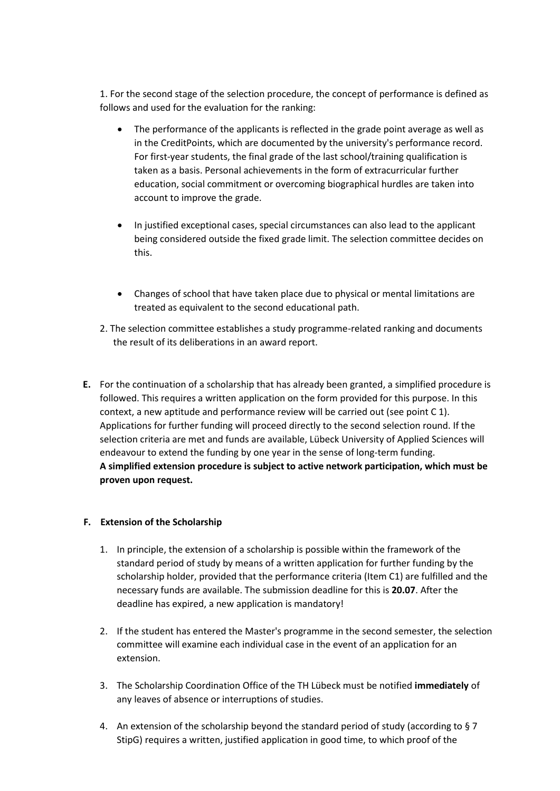1. For the second stage of the selection procedure, the concept of performance is defined as follows and used for the evaluation for the ranking:

- The performance of the applicants is reflected in the grade point average as well as in the CreditPoints, which are documented by the university's performance record. For first-year students, the final grade of the last school/training qualification is taken as a basis. Personal achievements in the form of extracurricular further education, social commitment or overcoming biographical hurdles are taken into account to improve the grade.
- In justified exceptional cases, special circumstances can also lead to the applicant being considered outside the fixed grade limit. The selection committee decides on this.
- Changes of school that have taken place due to physical or mental limitations are treated as equivalent to the second educational path.
- 2. The selection committee establishes a study programme-related ranking and documents the result of its deliberations in an award report.
- **E.** For the continuation of a scholarship that has already been granted, a simplified procedure is followed. This requires a written application on the form provided for this purpose. In this context, a new aptitude and performance review will be carried out (see point C 1). Applications for further funding will proceed directly to the second selection round. If the selection criteria are met and funds are available, Lübeck University of Applied Sciences will endeavour to extend the funding by one year in the sense of long-term funding. **A simplified extension procedure is subject to active network participation, which must be proven upon request.**

### **F. Extension of the Scholarship**

- 1. In principle, the extension of a scholarship is possible within the framework of the standard period of study by means of a written application for further funding by the scholarship holder, provided that the performance criteria (Item C1) are fulfilled and the necessary funds are available. The submission deadline for this is **20.07**. After the deadline has expired, a new application is mandatory!
- 2. If the student has entered the Master's programme in the second semester, the selection committee will examine each individual case in the event of an application for an extension.
- 3. The Scholarship Coordination Office of the TH Lübeck must be notified **immediately** of any leaves of absence or interruptions of studies.
- 4. An extension of the scholarship beyond the standard period of study (according to § 7 StipG) requires a written, justified application in good time, to which proof of the